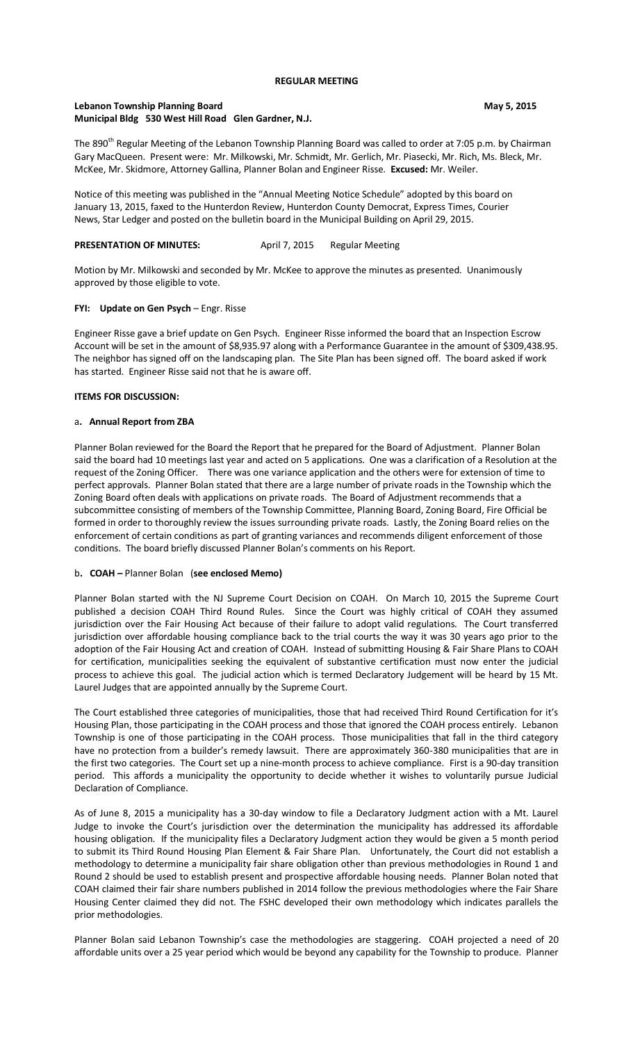## **REGULAR MEETING**

# **Lebanon Township Planning Board May 5, 2015 May 5, 2015 Municipal Bldg 530 West Hill Road Glen Gardner, N.J.**

The 890<sup>th</sup> Regular Meeting of the Lebanon Township Planning Board was called to order at 7:05 p.m. by Chairman Gary MacQueen. Present were: Mr. Milkowski, Mr. Schmidt, Mr. Gerlich, Mr. Piasecki, Mr. Rich, Ms. Bleck, Mr. McKee, Mr. Skidmore, Attorney Gallina, Planner Bolan and Engineer Risse. **Excused:** Mr. Weiler.

Notice of this meeting was published in the "Annual Meeting Notice Schedule" adopted by this board on January 13, 2015, faxed to the Hunterdon Review, Hunterdon County Democrat, Express Times, Courier News, Star Ledger and posted on the bulletin board in the Municipal Building on April 29, 2015.

# **PRESENTATION OF MINUTES:** April 7, 2015 Regular Meeting

Motion by Mr. Milkowski and seconded by Mr. McKee to approve the minutes as presented. Unanimously approved by those eligible to vote.

# **FYI: Update on Gen Psych** – Engr. Risse

Engineer Risse gave a brief update on Gen Psych. Engineer Risse informed the board that an Inspection Escrow Account will be set in the amount of \$8,935.97 along with a Performance Guarantee in the amount of \$309,438.95. The neighbor has signed off on the landscaping plan. The Site Plan has been signed off. The board asked if work has started. Engineer Risse said not that he is aware off.

### **ITEMS FOR DISCUSSION:**

#### a**. Annual Report from ZBA**

Planner Bolan reviewed for the Board the Report that he prepared for the Board of Adjustment. Planner Bolan said the board had 10 meetings last year and acted on 5 applications. One was a clarification of a Resolution at the request of the Zoning Officer. There was one variance application and the others were for extension of time to perfect approvals. Planner Bolan stated that there are a large number of private roads in the Township which the Zoning Board often deals with applications on private roads. The Board of Adjustment recommends that a subcommittee consisting of members of the Township Committee, Planning Board, Zoning Board, Fire Official be formed in order to thoroughly review the issues surrounding private roads. Lastly, the Zoning Board relies on the enforcement of certain conditions as part of granting variances and recommends diligent enforcement of those conditions. The board briefly discussed Planner Bolan's comments on his Report.

#### b**. COAH –** Planner Bolan (**see enclosed Memo)**

Planner Bolan started with the NJ Supreme Court Decision on COAH. On March 10, 2015 the Supreme Court published a decision COAH Third Round Rules. Since the Court was highly critical of COAH they assumed jurisdiction over the Fair Housing Act because of their failure to adopt valid regulations. The Court transferred jurisdiction over affordable housing compliance back to the trial courts the way it was 30 years ago prior to the adoption of the Fair Housing Act and creation of COAH. Instead of submitting Housing & Fair Share Plans to COAH for certification, municipalities seeking the equivalent of substantive certification must now enter the judicial process to achieve this goal. The judicial action which is termed Declaratory Judgement will be heard by 15 Mt. Laurel Judges that are appointed annually by the Supreme Court.

The Court established three categories of municipalities, those that had received Third Round Certification for it's Housing Plan, those participating in the COAH process and those that ignored the COAH process entirely. Lebanon Township is one of those participating in the COAH process. Those municipalities that fall in the third category have no protection from a builder's remedy lawsuit. There are approximately 360-380 municipalities that are in the first two categories. The Court set up a nine-month process to achieve compliance. First is a 90-day transition period. This affords a municipality the opportunity to decide whether it wishes to voluntarily pursue Judicial Declaration of Compliance.

As of June 8, 2015 a municipality has a 30-day window to file a Declaratory Judgment action with a Mt. Laurel Judge to invoke the Court's jurisdiction over the determination the municipality has addressed its affordable housing obligation. If the municipality files a Declaratory Judgment action they would be given a 5 month period to submit its Third Round Housing Plan Element & Fair Share Plan. Unfortunately, the Court did not establish a methodology to determine a municipality fair share obligation other than previous methodologies in Round 1 and Round 2 should be used to establish present and prospective affordable housing needs. Planner Bolan noted that COAH claimed their fair share numbers published in 2014 follow the previous methodologies where the Fair Share Housing Center claimed they did not. The FSHC developed their own methodology which indicates parallels the prior methodologies.

Planner Bolan said Lebanon Township's case the methodologies are staggering. COAH projected a need of 20 affordable units over a 25 year period which would be beyond any capability for the Township to produce. Planner